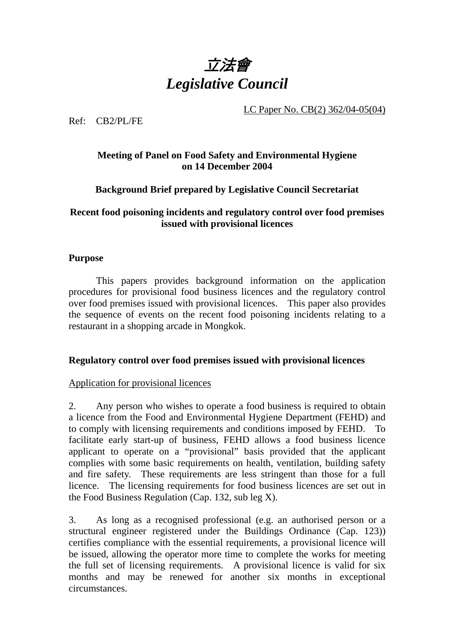

LC Paper No. CB(2) 362/04-05(04)

Ref: CB2/PL/FE

# **Meeting of Panel on Food Safety and Environmental Hygiene on 14 December 2004**

# **Background Brief prepared by Legislative Council Secretariat**

## **Recent food poisoning incidents and regulatory control over food premises issued with provisional licences**

#### **Purpose**

1. This papers provides background information on the application procedures for provisional food business licences and the regulatory control over food premises issued with provisional licences. This paper also provides the sequence of events on the recent food poisoning incidents relating to a restaurant in a shopping arcade in Mongkok.

## **Regulatory control over food premises issued with provisional licences**

## Application for provisional licences

2. Any person who wishes to operate a food business is required to obtain a licence from the Food and Environmental Hygiene Department (FEHD) and to comply with licensing requirements and conditions imposed by FEHD. To facilitate early start-up of business, FEHD allows a food business licence applicant to operate on a "provisional" basis provided that the applicant complies with some basic requirements on health, ventilation, building safety and fire safety. These requirements are less stringent than those for a full licence. The licensing requirements for food business licences are set out in the Food Business Regulation (Cap. 132, sub leg X).

3. As long as a recognised professional (e.g. an authorised person or a structural engineer registered under the Buildings Ordinance (Cap. 123)) certifies compliance with the essential requirements, a provisional licence will be issued, allowing the operator more time to complete the works for meeting the full set of licensing requirements. A provisional licence is valid for six months and may be renewed for another six months in exceptional circumstances.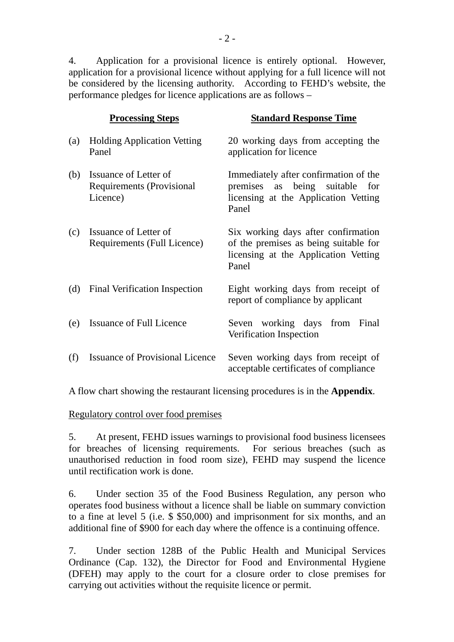4. Application for a provisional licence is entirely optional. However, application for a provisional licence without applying for a full licence will not be considered by the licensing authority. According to FEHD's website, the performance pledges for licence applications are as follows –

|     | <b>Processing Steps</b>                                               | <b>Standard Response Time</b>                                                                                                  |
|-----|-----------------------------------------------------------------------|--------------------------------------------------------------------------------------------------------------------------------|
| (a) | <b>Holding Application Vetting</b><br>Panel                           | 20 working days from accepting the<br>application for licence                                                                  |
| (b) | Issuance of Letter of<br><b>Requirements (Provisional</b><br>Licence) | Immediately after confirmation of the<br>as being suitable<br>premises<br>for<br>licensing at the Application Vetting<br>Panel |
| (c) | Issuance of Letter of<br>Requirements (Full Licence)                  | Six working days after confirmation<br>of the premises as being suitable for<br>licensing at the Application Vetting<br>Panel  |
| (d) | Final Verification Inspection                                         | Eight working days from receipt of<br>report of compliance by applicant                                                        |
| (e) | Issuance of Full Licence                                              | Seven working days<br>from Final<br>Verification Inspection                                                                    |
| (f) | <b>Issuance of Provisional Licence</b>                                | Seven working days from receipt of<br>acceptable certificates of compliance                                                    |

A flow chart showing the restaurant licensing procedures is in the **Appendix**.

Regulatory control over food premises

5. At present, FEHD issues warnings to provisional food business licensees for breaches of licensing requirements. For serious breaches (such as unauthorised reduction in food room size), FEHD may suspend the licence until rectification work is done.

6. Under section 35 of the Food Business Regulation, any person who operates food business without a licence shall be liable on summary conviction to a fine at level 5 (i.e. \$ \$50,000) and imprisonment for six months, and an additional fine of \$900 for each day where the offence is a continuing offence.

7. Under section 128B of the Public Health and Municipal Services Ordinance (Cap. 132), the Director for Food and Environmental Hygiene (DFEH) may apply to the court for a closure order to close premises for carrying out activities without the requisite licence or permit.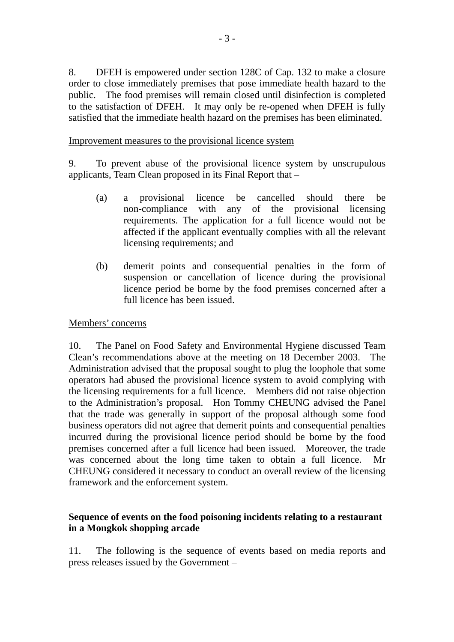8. DFEH is empowered under section 128C of Cap. 132 to make a closure order to close immediately premises that pose immediate health hazard to the public. The food premises will remain closed until disinfection is completed to the satisfaction of DFEH. It may only be re-opened when DFEH is fully satisfied that the immediate health hazard on the premises has been eliminated.

Improvement measures to the provisional licence system

9. To prevent abuse of the provisional licence system by unscrupulous applicants, Team Clean proposed in its Final Report that –

- (a) a provisional licence be cancelled should there be non-compliance with any of the provisional licensing requirements. The application for a full licence would not be affected if the applicant eventually complies with all the relevant licensing requirements; and
- (b) demerit points and consequential penalties in the form of suspension or cancellation of licence during the provisional licence period be borne by the food premises concerned after a full licence has been issued.

#### Members' concerns

10. The Panel on Food Safety and Environmental Hygiene discussed Team Clean's recommendations above at the meeting on 18 December 2003. The Administration advised that the proposal sought to plug the loophole that some operators had abused the provisional licence system to avoid complying with the licensing requirements for a full licence. Members did not raise objection to the Administration's proposal. Hon Tommy CHEUNG advised the Panel that the trade was generally in support of the proposal although some food business operators did not agree that demerit points and consequential penalties incurred during the provisional licence period should be borne by the food premises concerned after a full licence had been issued. Moreover, the trade was concerned about the long time taken to obtain a full licence. Mr CHEUNG considered it necessary to conduct an overall review of the licensing framework and the enforcement system.

## **Sequence of events on the food poisoning incidents relating to a restaurant in a Mongkok shopping arcade**

11. The following is the sequence of events based on media reports and press releases issued by the Government –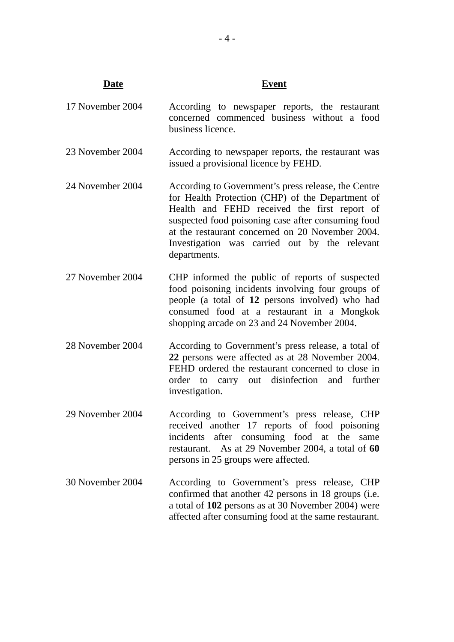# **Date Event** 17 November 2004 According to newspaper reports, the restaurant

- concerned commenced business without a food business licence.
- 23 November 2004 According to newspaper reports, the restaurant was issued a provisional licence by FEHD.
- 24 November 2004 According to Government's press release, the Centre for Health Protection (CHP) of the Department of Health and FEHD received the first report of suspected food poisoning case after consuming food at the restaurant concerned on 20 November 2004. Investigation was carried out by the relevant departments.
- 27 November 2004 CHP informed the public of reports of suspected food poisoning incidents involving four groups of people (a total of **12** persons involved) who had consumed food at a restaurant in a Mongkok shopping arcade on 23 and 24 November 2004.
- 28 November 2004 According to Government's press release, a total of **22** persons were affected as at 28 November 2004. FEHD ordered the restaurant concerned to close in order to carry out disinfection and further investigation.
- 29 November 2004 According to Government's press release, CHP received another 17 reports of food poisoning incidents after consuming food at the same restaurant. As at 29 November 2004, a total of **60** persons in 25 groups were affected.
- 30 November 2004 According to Government's press release, CHP confirmed that another 42 persons in 18 groups (i.e. a total of **102** persons as at 30 November 2004) were affected after consuming food at the same restaurant.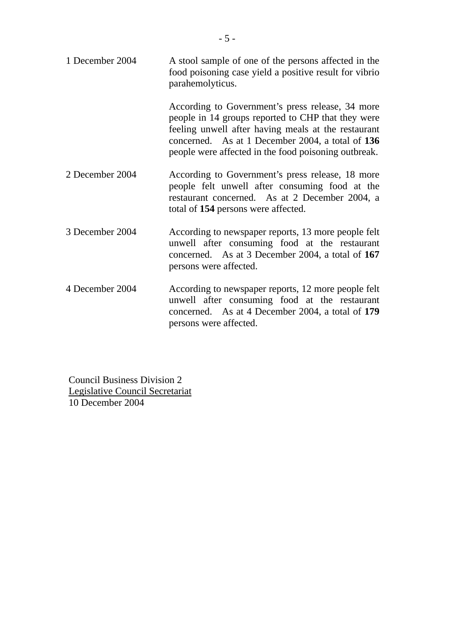| 1 December 2004 | A stool sample of one of the persons affected in the<br>food poisoning case yield a positive result for vibrio<br>parahemolyticus.                                                                                                                                        |
|-----------------|---------------------------------------------------------------------------------------------------------------------------------------------------------------------------------------------------------------------------------------------------------------------------|
|                 | According to Government's press release, 34 more<br>people in 14 groups reported to CHP that they were<br>feeling unwell after having meals at the restaurant<br>concerned. As at 1 December 2004, a total of 136<br>people were affected in the food poisoning outbreak. |
| 2 December 2004 | According to Government's press release, 18 more<br>people felt unwell after consuming food at the<br>restaurant concerned. As at 2 December 2004, a<br>total of 154 persons were affected.                                                                               |
| 3 December 2004 | According to newspaper reports, 13 more people felt<br>unwell after consuming food at the restaurant<br>concerned. As at 3 December 2004, a total of 167<br>persons were affected.                                                                                        |
| 4 December 2004 | According to newspaper reports, 12 more people felt<br>unwell after consuming food at the restaurant<br>concerned. As at 4 December 2004, a total of 179<br>persons were affected.                                                                                        |

Council Business Division 2 Legislative Council Secretariat 10 December 2004